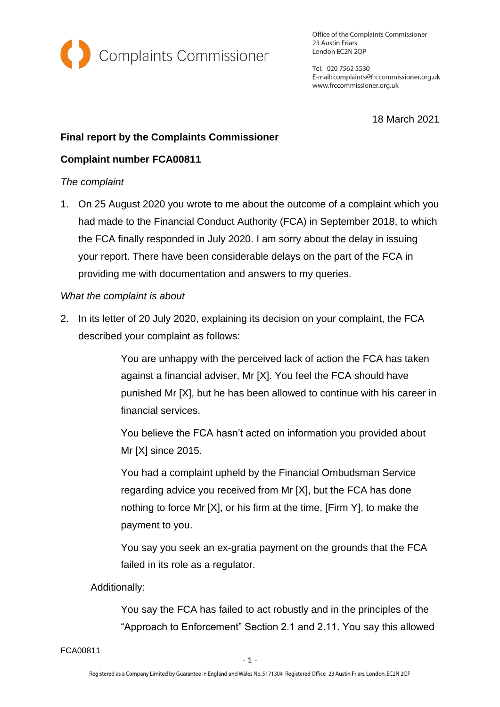

Office of the Complaints Commissioner 23 Austin Friars London EC2N 2QP

Tel: 020 7562 5530 E-mail: complaints@frccommissioner.org.uk www.frccommissioner.org.uk

18 March 2021

# **Final report by the Complaints Commissioner**

## **Complaint number FCA00811**

## *The complaint*

1. On 25 August 2020 you wrote to me about the outcome of a complaint which you had made to the Financial Conduct Authority (FCA) in September 2018, to which the FCA finally responded in July 2020. I am sorry about the delay in issuing your report. There have been considerable delays on the part of the FCA in providing me with documentation and answers to my queries.

## *What the complaint is about*

2. In its letter of 20 July 2020, explaining its decision on your complaint, the FCA described your complaint as follows:

> You are unhappy with the perceived lack of action the FCA has taken against a financial adviser, Mr [X]. You feel the FCA should have punished Mr [X], but he has been allowed to continue with his career in financial services.

You believe the FCA hasn't acted on information you provided about Mr [X] since 2015.

You had a complaint upheld by the Financial Ombudsman Service regarding advice you received from Mr [X], but the FCA has done nothing to force Mr [X], or his firm at the time, [Firm Y], to make the payment to you.

You say you seek an ex-gratia payment on the grounds that the FCA failed in its role as a regulator.

## Additionally:

You say the FCA has failed to act robustly and in the principles of the "Approach to Enforcement" Section 2.1 and 2.11. You say this allowed

FCA00811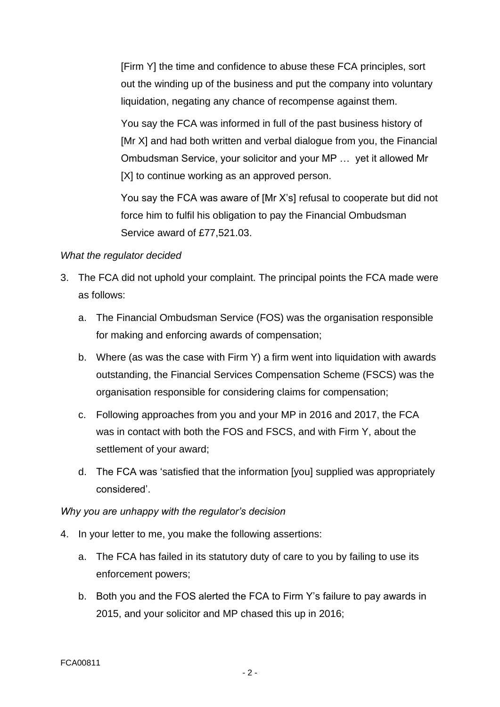[Firm Y] the time and confidence to abuse these FCA principles, sort out the winding up of the business and put the company into voluntary liquidation, negating any chance of recompense against them.

You say the FCA was informed in full of the past business history of [Mr X] and had both written and verbal dialogue from you, the Financial Ombudsman Service, your solicitor and your MP … yet it allowed Mr [X] to continue working as an approved person.

You say the FCA was aware of [Mr X's] refusal to cooperate but did not force him to fulfil his obligation to pay the Financial Ombudsman Service award of £77,521.03.

#### *What the regulator decided*

- 3. The FCA did not uphold your complaint. The principal points the FCA made were as follows:
	- a. The Financial Ombudsman Service (FOS) was the organisation responsible for making and enforcing awards of compensation;
	- b. Where (as was the case with Firm Y) a firm went into liquidation with awards outstanding, the Financial Services Compensation Scheme (FSCS) was the organisation responsible for considering claims for compensation;
	- c. Following approaches from you and your MP in 2016 and 2017, the FCA was in contact with both the FOS and FSCS, and with Firm Y, about the settlement of your award;
	- d. The FCA was 'satisfied that the information [you] supplied was appropriately considered'.

## *Why you are unhappy with the regulator's decision*

- 4. In your letter to me, you make the following assertions:
	- a. The FCA has failed in its statutory duty of care to you by failing to use its enforcement powers;
	- b. Both you and the FOS alerted the FCA to Firm Y's failure to pay awards in 2015, and your solicitor and MP chased this up in 2016;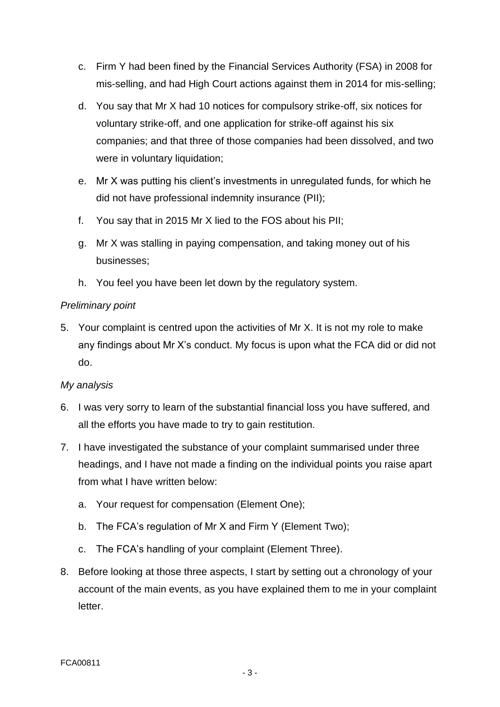- c. Firm Y had been fined by the Financial Services Authority (FSA) in 2008 for mis-selling, and had High Court actions against them in 2014 for mis-selling;
- d. You say that Mr X had 10 notices for compulsory strike-off, six notices for voluntary strike-off, and one application for strike-off against his six companies; and that three of those companies had been dissolved, and two were in voluntary liquidation;
- e. Mr X was putting his client's investments in unregulated funds, for which he did not have professional indemnity insurance (PII);
- f. You say that in 2015 Mr X lied to the FOS about his PII;
- g. Mr X was stalling in paying compensation, and taking money out of his businesses;
- h. You feel you have been let down by the regulatory system.

# *Preliminary point*

5. Your complaint is centred upon the activities of Mr X. It is not my role to make any findings about Mr X's conduct. My focus is upon what the FCA did or did not do.

# *My analysis*

- 6. I was very sorry to learn of the substantial financial loss you have suffered, and all the efforts you have made to try to gain restitution.
- 7. I have investigated the substance of your complaint summarised under three headings, and I have not made a finding on the individual points you raise apart from what I have written below:
	- a. Your request for compensation (Element One);
	- b. The FCA's regulation of Mr X and Firm Y (Element Two);
	- c. The FCA's handling of your complaint (Element Three).
- 8. Before looking at those three aspects, I start by setting out a chronology of your account of the main events, as you have explained them to me in your complaint letter.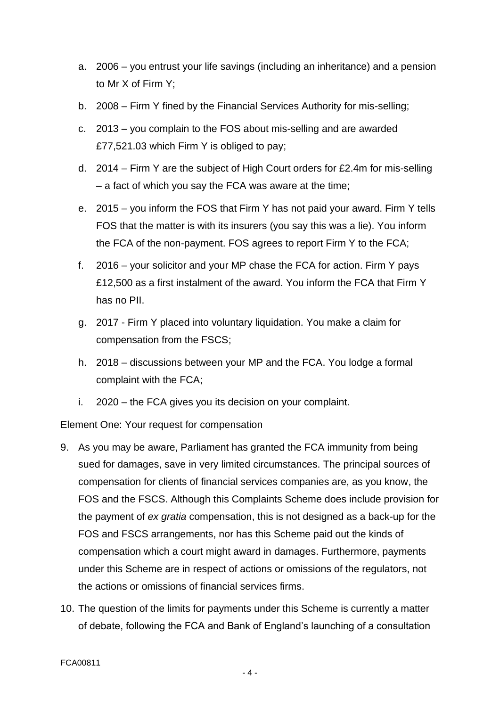- a. 2006 you entrust your life savings (including an inheritance) and a pension to Mr X of Firm Y;
- b. 2008 Firm Y fined by the Financial Services Authority for mis-selling;
- c. 2013 you complain to the FOS about mis-selling and are awarded £77,521.03 which Firm Y is obliged to pay;
- d. 2014 Firm Y are the subject of High Court orders for £2.4m for mis-selling – a fact of which you say the FCA was aware at the time;
- e. 2015 you inform the FOS that Firm Y has not paid your award. Firm Y tells FOS that the matter is with its insurers (you say this was a lie). You inform the FCA of the non-payment. FOS agrees to report Firm Y to the FCA;
- f. 2016 your solicitor and your MP chase the FCA for action. Firm Y pays £12,500 as a first instalment of the award. You inform the FCA that Firm Y has no PII.
- g. 2017 Firm Y placed into voluntary liquidation. You make a claim for compensation from the FSCS;
- h. 2018 discussions between your MP and the FCA. You lodge a formal complaint with the FCA;
- i. 2020 the FCA gives you its decision on your complaint.

Element One: Your request for compensation

- 9. As you may be aware, Parliament has granted the FCA immunity from being sued for damages, save in very limited circumstances. The principal sources of compensation for clients of financial services companies are, as you know, the FOS and the FSCS. Although this Complaints Scheme does include provision for the payment of *ex gratia* compensation, this is not designed as a back-up for the FOS and FSCS arrangements, nor has this Scheme paid out the kinds of compensation which a court might award in damages. Furthermore, payments under this Scheme are in respect of actions or omissions of the regulators, not the actions or omissions of financial services firms.
- 10. The question of the limits for payments under this Scheme is currently a matter of debate, following the FCA and Bank of England's launching of a consultation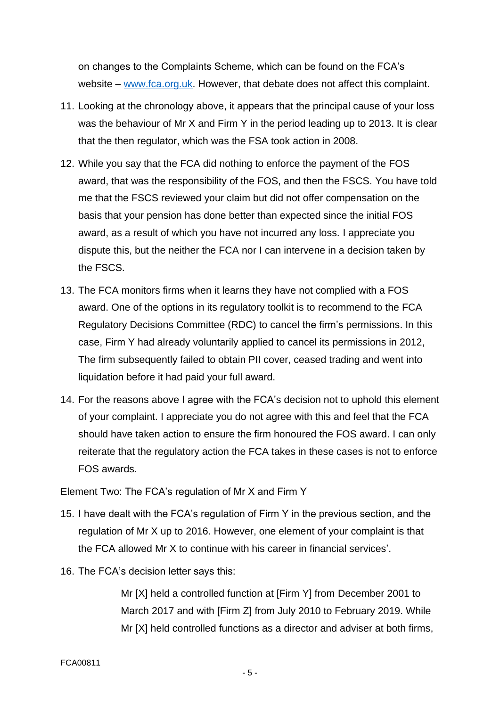on changes to the Complaints Scheme, which can be found on the FCA's website – [www.fca.org.uk.](http://www.fca.org.uk/) However, that debate does not affect this complaint.

- 11. Looking at the chronology above, it appears that the principal cause of your loss was the behaviour of Mr X and Firm Y in the period leading up to 2013. It is clear that the then regulator, which was the FSA took action in 2008.
- 12. While you say that the FCA did nothing to enforce the payment of the FOS award, that was the responsibility of the FOS, and then the FSCS. You have told me that the FSCS reviewed your claim but did not offer compensation on the basis that your pension has done better than expected since the initial FOS award, as a result of which you have not incurred any loss. I appreciate you dispute this, but the neither the FCA nor I can intervene in a decision taken by the FSCS.
- 13. The FCA monitors firms when it learns they have not complied with a FOS award. One of the options in its regulatory toolkit is to recommend to the FCA Regulatory Decisions Committee (RDC) to cancel the firm's permissions. In this case, Firm Y had already voluntarily applied to cancel its permissions in 2012, The firm subsequently failed to obtain PII cover, ceased trading and went into liquidation before it had paid your full award.
- 14. For the reasons above I agree with the FCA's decision not to uphold this element of your complaint. I appreciate you do not agree with this and feel that the FCA should have taken action to ensure the firm honoured the FOS award. I can only reiterate that the regulatory action the FCA takes in these cases is not to enforce FOS awards.

Element Two: The FCA's regulation of Mr X and Firm Y

- 15. I have dealt with the FCA's regulation of Firm Y in the previous section, and the regulation of Mr X up to 2016. However, one element of your complaint is that the FCA allowed Mr X to continue with his career in financial services'.
- 16. The FCA's decision letter says this:

Mr [X] held a controlled function at [Firm Y] from December 2001 to March 2017 and with [Firm Z] from July 2010 to February 2019. While Mr [X] held controlled functions as a director and adviser at both firms,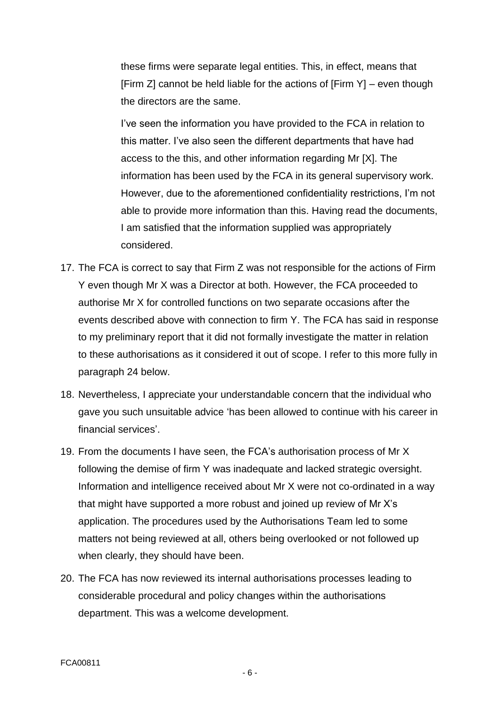these firms were separate legal entities. This, in effect, means that [Firm Z] cannot be held liable for the actions of [Firm Y] – even though the directors are the same.

I've seen the information you have provided to the FCA in relation to this matter. I've also seen the different departments that have had access to the this, and other information regarding Mr [X]. The information has been used by the FCA in its general supervisory work. However, due to the aforementioned confidentiality restrictions, I'm not able to provide more information than this. Having read the documents, I am satisfied that the information supplied was appropriately considered.

- 17. The FCA is correct to say that Firm Z was not responsible for the actions of Firm Y even though Mr X was a Director at both. However, the FCA proceeded to authorise Mr X for controlled functions on two separate occasions after the events described above with connection to firm Y. The FCA has said in response to my preliminary report that it did not formally investigate the matter in relation to these authorisations as it considered it out of scope. I refer to this more fully in paragraph 24 below.
- 18. Nevertheless, I appreciate your understandable concern that the individual who gave you such unsuitable advice 'has been allowed to continue with his career in financial services'.
- 19. From the documents I have seen, the FCA's authorisation process of Mr X following the demise of firm Y was inadequate and lacked strategic oversight. Information and intelligence received about Mr X were not co-ordinated in a way that might have supported a more robust and joined up review of Mr X's application. The procedures used by the Authorisations Team led to some matters not being reviewed at all, others being overlooked or not followed up when clearly, they should have been.
- 20. The FCA has now reviewed its internal authorisations processes leading to considerable procedural and policy changes within the authorisations department. This was a welcome development.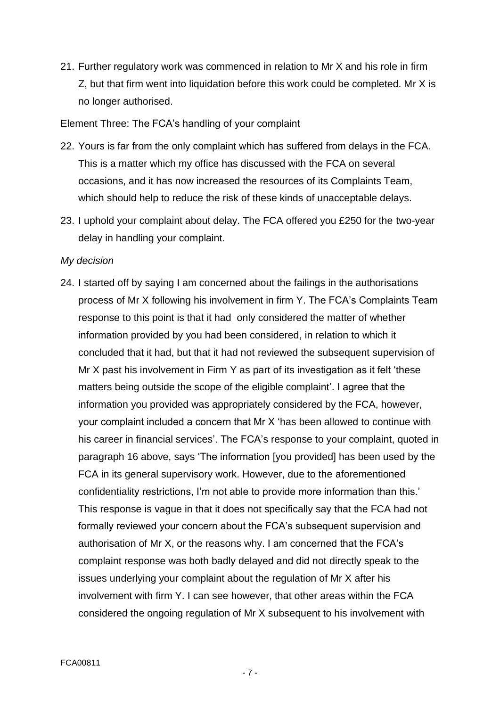21. Further regulatory work was commenced in relation to Mr X and his role in firm Z, but that firm went into liquidation before this work could be completed. Mr X is no longer authorised.

Element Three: The FCA's handling of your complaint

- 22. Yours is far from the only complaint which has suffered from delays in the FCA. This is a matter which my office has discussed with the FCA on several occasions, and it has now increased the resources of its Complaints Team, which should help to reduce the risk of these kinds of unacceptable delays.
- 23. I uphold your complaint about delay. The FCA offered you £250 for the two-year delay in handling your complaint.

## *My decision*

24. I started off by saying I am concerned about the failings in the authorisations process of Mr X following his involvement in firm Y. The FCA's Complaints Team response to this point is that it had only considered the matter of whether information provided by you had been considered, in relation to which it concluded that it had, but that it had not reviewed the subsequent supervision of Mr X past his involvement in Firm Y as part of its investigation as it felt 'these matters being outside the scope of the eligible complaint'. I agree that the information you provided was appropriately considered by the FCA, however, your complaint included a concern that Mr X 'has been allowed to continue with his career in financial services'. The FCA's response to your complaint, quoted in paragraph 16 above, says 'The information [you provided] has been used by the FCA in its general supervisory work. However, due to the aforementioned confidentiality restrictions, I'm not able to provide more information than this.' This response is vague in that it does not specifically say that the FCA had not formally reviewed your concern about the FCA's subsequent supervision and authorisation of Mr X, or the reasons why. I am concerned that the FCA's complaint response was both badly delayed and did not directly speak to the issues underlying your complaint about the regulation of Mr X after his involvement with firm Y. I can see however, that other areas within the FCA considered the ongoing regulation of Mr X subsequent to his involvement with

- 7 -